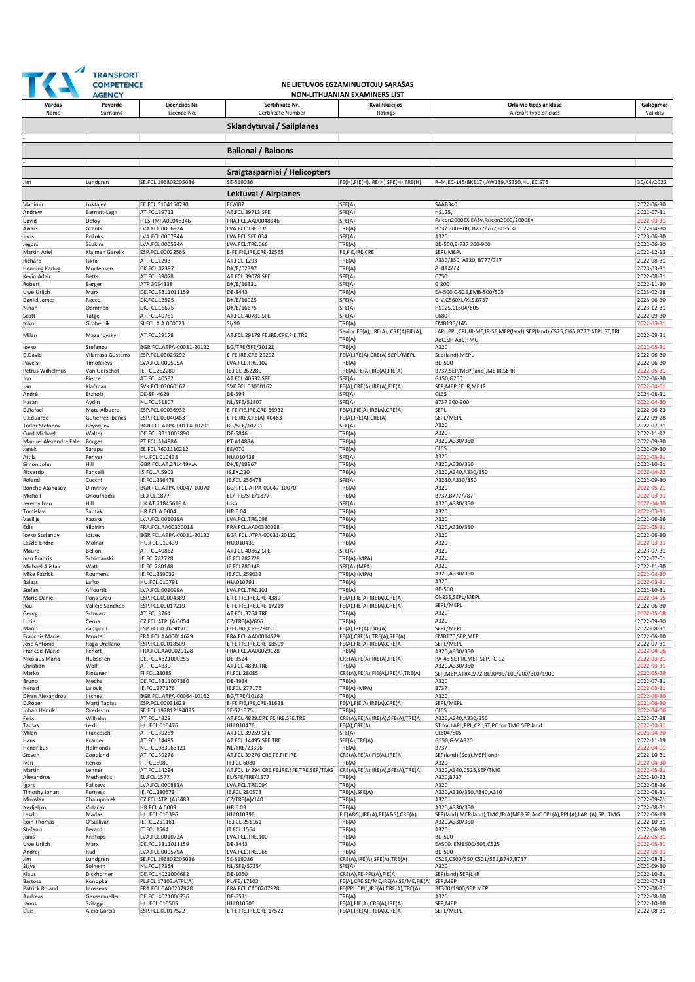

## **NE LIETUVOS EGZAMINUOTOJŲ SĄRAŠAS NON-LITHUANIAN EXAM**

|                                       | AGENC                         |                                                |                                                        | NON-LITHUANIAN EXAMINEKS LIS                                                 |                                                                                                  |                          |
|---------------------------------------|-------------------------------|------------------------------------------------|--------------------------------------------------------|------------------------------------------------------------------------------|--------------------------------------------------------------------------------------------------|--------------------------|
| Vardas                                | Pavardė                       | Licencijos Nr.                                 | Sertifikato Nr.                                        | Kvalifikacijos                                                               | Orlaivio tipas ar klasė                                                                          | Galiojimas               |
| Name                                  | Surname                       | Licence No.                                    | Certificate Number                                     | Ratings                                                                      | Aircraft type or class                                                                           | Validity                 |
|                                       |                               |                                                | Sklandytuvai / Sailplanes                              |                                                                              |                                                                                                  |                          |
|                                       |                               |                                                |                                                        |                                                                              |                                                                                                  |                          |
|                                       |                               |                                                | <b>Balionai / Baloons</b>                              |                                                                              |                                                                                                  |                          |
|                                       |                               |                                                | Sraigtasparniai / Helicopters                          |                                                                              |                                                                                                  |                          |
| Jim                                   | Lundgren                      | SE.FCL.196802205036                            | SE-519086                                              | FE(H),FIE(H),IRE(H),SFE(H),TRE(H)                                            | R-44,EC-145(BK117),AW139,AS350,HU,EC,S76                                                         | 30/04/2022               |
|                                       |                               |                                                | Lėktuvai / Airplanes                                   |                                                                              |                                                                                                  |                          |
| Vladimir                              | Loktajev                      | EE.FCL.5104150290                              | EE/007                                                 | SFE(A)                                                                       | SAAB340                                                                                          | 2022-06-30               |
| Andrew                                | Barnett-Legh                  | AT.FCL.39713                                   | AT.FCL.39713.SFE                                       | SFE(A)                                                                       | HS125,                                                                                           | 2022-07-31               |
| David<br>Aivars                       | Defoy<br>Grants               | F-LSFIMPA00048346<br>LVA.FCL.000682A           | FRA.FCL.AA00048346<br>LVA.FCL.TRE 036                  | SFE(A)<br>TRE(A)                                                             | Falcon2000EX EASy,Falcon2000/2000EX<br>B737 300-900, B757/767,BD-500                             | 2022-03-31<br>2022-04-30 |
| Juris                                 | Rožoks                        | LVA.FCL.000794A                                | LVA.FCL.SFE.034                                        | SFE(A)                                                                       | A320                                                                                             | 2023-06-30               |
| Jegors<br>Martin Ariel                | Ščukins<br>Klajman Garelik    | LVA.FCL.000534A<br>ESP.FCL.00022565            | LVA.FCL.TRE.066<br>E-FE,FIE,IRE,CRE-22565              | TRE(A)<br>FE,FIE,IRE,CRE                                                     | BD-500, B-737 300-900<br>SEPL, MEPL                                                              | 2022-06-30<br>2022-12-13 |
| Richard                               | Iskra                         | AT.FCL.1293                                    | AT.FCL.1293                                            | TRE(A)                                                                       | A330/350, A320, B777/787                                                                         | 2022-08-31               |
| <b>Henning Karlog</b>                 | Mortensen                     | DK.FCL.02397                                   | DK/E/02397                                             | TRE(A)                                                                       | ATR42/72<br>C750                                                                                 | 2023-03-31               |
| Kevin Adair<br>Robert                 | Betts<br>Berger               | AT.FCL.39078<br>ATP 3034338                    | AT.FCL.39078.SFE<br>DK/E/16331                         | SFE(A)<br>SFE(A)                                                             | G 200                                                                                            | 2022-08-31<br>2022-11-30 |
| Uwe Urlich                            | Marx                          | DE.FCL.3311011159                              | DE-3443                                                | TRE(A)                                                                       | EA-500,C-525,EMB-500/505                                                                         | 2023-02-28               |
| Daniel James<br>Ninan                 | Reece<br>Oommen               | DK.FCL.16925<br>DK.FCL.16675                   | DK/E/16925<br>DK/E/16675                               | SFE(A)<br>SFE(A)                                                             | G-V,C560XL/XLS,B737<br>HS125,CL604/605                                                           | 2023-06-30<br>2023-12-31 |
| Scott                                 | Tatge                         | AT.FCL.40781                                   | AT.FCL.40781.SFE                                       | SFE(A)                                                                       | C680                                                                                             | 2022-09-30               |
| Niko                                  | Grobelnik                     | SI.FCL.A.A.000023                              | SI/90                                                  | TRE(A)<br>Senior FE(A), IRE(A), CRE(A)FIE(A),                                | EMB135/145<br>LAPL, PPL, CPL, IR-ME, IR-SE, MEP(land), SEP(land), C525, CI65, B737, ATPL ST, TRI | 2022-03-31               |
| Milan                                 | Mazanovsky                    | AT.FCL.29178                                   | AT.FCL.29178.FE.IRE.CRE.FIE.TRE                        | TRE(A)                                                                       | AoC, SFI AoC, TMG                                                                                | 2022-08-31               |
| lovko<br>D.David                      | Stefanov<br>Vilarrasa Gustems | BGR.FCL.ATPA-00031-20122<br>ESP.FCL.00029292   | BG/TRE/SFE/20122<br>E-FE, IRE, CRE-29292               | TRE(A)<br>FE(A), IRE(A), CRE(A) SEPL/MEPL                                    | A320<br>Sep(land), MEPL                                                                          | 2022-05-31<br>2022-06-30 |
| Pavels                                | Timofejevs                    | LVA.FCL.000595A                                | LVA.FCL.TRE.102                                        | TRE(A)                                                                       | <b>BD-500</b>                                                                                    | 2022-06-30               |
| Petrus Wilhelmus                      | Van Oorschot                  | IE.FCL.262280                                  | IE.FCL.262280                                          | TRE(A), FE(A), IRE(A), FIE(A)                                                | B737,SEP/MEP(land),ME IR,SE IR                                                                   | 2022-05-31               |
| Jon<br>Jan                            | Pierce<br>Klačman             | AT.FCL.40532<br>SVK FCL 03060162               | AT.FCL.40532 SFE<br>SVK FCL 03060162                   | SFE(A)<br>FE(A), CRE(A), IRE(A), FIE(A)                                      | G150,G200<br>SEP, MEP, SE IR, ME IR                                                              | 2022-06-30<br>2022-04-01 |
| Andrė                                 | Etzholz                       | <b>DE-SFI 4629</b>                             | DE-594                                                 | SFE(A)                                                                       | CL65                                                                                             | 2024-08-31               |
| Hasan<br>D.Rafael                     | Aydin<br>Mata Albuera         | <b>NL.FCL.51807</b><br>ESP.FCL.00036932        | NL/SFE/51807<br>E-FE,FIE,IRE,CRE-36932                 | SFE(A)<br>FE(A), FIE(A), IRE(A), CRE(A)                                      | B737 300-900<br><b>SEPL</b>                                                                      | 2022-04-30<br>2022-06-23 |
| D.Eduardo                             | Gutierrez Ibanes              | ESP.FCL.00040463                               | E-FE, IRE, CRE(A)-40463                                | FE(A), IRE(A), CRE(A)                                                        | SEPL/MEPL                                                                                        | 2022-09-28               |
| <b>Todor Stefanov</b><br>Curd Michael | Boyadjiev<br>Walter           | BGR.FCL.ATPA-00114-10291<br>DE.FCL.3311003890  | BG/SFE/10291<br>DE-5846                                | SFE(A)<br>TRE(A)                                                             | A320<br>A320                                                                                     | 2022-07-31<br>2022-11-12 |
| Manuel Alexandre Fale                 | Borges                        | PT.FCL.A1488A                                  | PT.A1488A                                              | TRE(A)                                                                       | A320,A330/350                                                                                    | 2022-09-30               |
| Janek<br>Attila                       | Sarapu<br>Fenyes              | EE.FCL.7602110212<br>HU.FCL.010438             | EE/070<br>HU.010438                                    | TRE(A)<br>SFE(A)                                                             | CL65<br>A320                                                                                     | 2022-09-30<br>2022-03-31 |
| Simon John                            | Hill                          | GBR.FCL.AT.241449K.A                           | DK/E/18967                                             | TRE(A)                                                                       | A320,A330/350                                                                                    | 2022-10-31               |
| Riccardo                              | Fancelli                      | IS.FCL.A.5903                                  | IS.EX.220                                              | TRE(A)                                                                       | A320,A340,A330/350                                                                               | 2022-04-22               |
| Roland<br>Boncho Atanasov             | Cucchi<br>Dimitrov            | IE.FCL.256478<br>BGR.FCL.ATPA-00047-10070      | IE.FCL.256478<br>BGR.FCL.ATPA-00047-10070              | SFE(A)<br>TRE(A)                                                             | A3230,A330/350<br>A320                                                                           | 2022-09-30<br>2022-05-21 |
| Michail                               | Onoufriadis                   | EL.FCL.1877                                    | EL/TRE/SFE/1877                                        | TRE(A)                                                                       | B737, B777/787                                                                                   | 2022-03-31               |
| Jeremy Ivan<br>Tomislav               | Hill<br>Šantak                | UK.AT.2184561F.A<br><b>HR.FCL.A.0004</b>       | Irish<br><b>HR.E.04</b>                                | SFE(A)<br>TRE(A)                                                             | A320,A330/350<br>A320                                                                            | 2022-04-30<br>2022-03-31 |
| Vasilijs                              | Kazaks                        | LVA.FCL.001019A                                | LVA.FCL.TRE.098                                        | TRE(A)                                                                       | A320                                                                                             | 2022-06-16               |
| Ediz<br>lovko Stefanov                | Yildirim<br>lotzev            | FRA.FCL.AA00320018<br>BGR.FCL.ATPA-00031-20122 | FRA.FCL.AA00320018<br>BGR.FCL.ATPA-00031-20122         | TRE(A)<br>TRE(A)                                                             | A320,A330/350<br>A320                                                                            | 2022-05-31<br>2022-06-30 |
| Laszlo Endre                          | Molnar                        | HU.FCL.010439                                  | HU.010439                                              | TRE(A)                                                                       | A320                                                                                             | 2022-03-31               |
| Mauro<br>Ivan Francis                 | Belloni<br>Schimanski         | AT.FCL.40862<br>IE.FCL282728                   | AT.FCL.40862.SFE<br>IE.FCL282728                       | SFE(A)<br>TRE(A) (MPA)                                                       | A320<br>A320                                                                                     | 2023-07-31<br>2022-07-01 |
| <b>Michael Alistair</b>               | Watt                          | IE.FCL280148                                   | IE.FCL280148                                           | SFE(A) (MPA)                                                                 | A320                                                                                             | 2022-11-30               |
| <b>Mike Patrick</b>                   | Roumens                       | IE.FCL.259032                                  | IE.FCL.259032                                          | TRE(A) (MPA)                                                                 | A320,A330/350                                                                                    | 2022-04-30               |
| Balazs<br>Stefan                      | Lafko<br>Affourtit            | HU.FCL.010791<br>LVA.FCL.001099A               | HU.010791<br>LVA.FCL.TRE.101                           | TRE(A)<br>TRE(A)                                                             | A320<br><b>BD-500</b>                                                                            | 2022-03-31<br>2022-10-31 |
| Mario Daniel                          | Pons Grau                     | ESP.FCL.00004389                               | E-FE,FIE,IRE,CRE-4389                                  | FE(A), FIE(A), IRE(A), CRE(A)                                                | CN235,SEPL/MEPL                                                                                  | 2022-04-05               |
| Raul<br>Georg                         | Vallejo Sanchez<br>Schwarz    | ESP.FCL.00017219<br>AT.FCL.3764                | E-FE,FIE,IRE,CRE-17219<br>AT.FCL.3764.TRE              | FE(A), FIE(A), IRE(A), CRE(A)<br>TRE(A)                                      | SEPL/MEPL<br>A320                                                                                | 2022-06-30<br>2022-05-08 |
| Lucie                                 | Černa                         | CZ.FCL.ATPL(A)5054                             | CZ/TRE(A)/606                                          | TRE(A)                                                                       | A320                                                                                             | 2022-09-30               |
| Mario<br>Francois Marie               | Zamponi<br>Montel             | ESP.FCL.00029050<br>FRA.FCL.AA00014629         | E-FE, IRE, CRE-29050<br>FRA.FCL.AA00014629             | FE(A), IRE(A), CRE(A)<br>FE(A), CRE(A), TRE(A), SFE(A)                       | SEPL/MEPL<br>EMB170,SEP,MEP                                                                      | 2022-08-31<br>2022-06-10 |
| Jose Antonio                          | Raga Orellano                 | ESP.FCL.00018509                               | E-FE,FIE,IRE,CRE-18509                                 | FE(A),FIE(A),IRE(A),CRE(A)                                                   | SEPL/MEPL                                                                                        | 2022-07-31               |
| Francois Marie<br>Nikolaus Maria      | Fenart<br>Hubschen            | FRA.FCL.AA00029128<br>DE.FCL.4821000255        | FRA.FCL.AA00029128<br>DE-3524                          | TRE(A)<br>CRE(A), FE(A), IRE(A), FIE(A)                                      | A320,A330/350<br>PA-46 SET IR, MEP, SEP, PC-12                                                   | 2022-04-06<br>2022-03-31 |
| Christian                             | Wolf                          | AT.FCL.4839                                    | AT.FCL.4839.TRE                                        | TRE(A)                                                                       | A320,A330/350                                                                                    | 2022-03-31               |
| Marko<br>Bruno                        | Rintanen<br>Mecha             | FI.FCL.28085<br>DE.FCL.3311007380              | FI.FCL.28085<br>DE-4924                                | CRE(A), FE(A), FIE(A), IRE(A), TRE(A)<br>TRE(A)                              | SEP, MEP, ATR42/72, BE90/99/100/200/300/1900<br>A320                                             | 2022-05-29<br>2022-07-31 |
| Nenad                                 | Lalovic                       | IE.FCL.277176                                  | IE.FCL.277176                                          | TRE(A) (MPA)                                                                 | <b>B737</b>                                                                                      | 2022-03-31               |
| Diyan Alexandrov<br>D.Roger           | Iltchev<br>Marti Tapias       | BGR.FCL.ATPA-00064-10162<br>ESP.FCL.00031628   | BG/TRE/10162<br>E-FE,FIE,IRE,CRE-31628                 | TRE(A)<br>FE(A), FIE(A), IRE(A), CRE(A)                                      | A320<br>SEPL/MEPL                                                                                | 2022-06-30<br>2022-06-30 |
| Johan Henrik                          | Oredsson                      | SE.FCL.197812194095                            | SE-521375                                              | TRE(A)                                                                       | CL65                                                                                             | 2022-04-06               |
| Felix<br>Tamas                        | Wilhelm<br>Lekli              | AT.FCL.4829<br>HU.FCL.010476                   | AT.FCL.4829.CRE.FE.IRE.SFE.TRE<br>HU.010476            | CRE(A), FE(A), IRE(A), SFE(A), TRE(A)<br>FE(A), CRE(A)                       | A320,A340,A330/350<br>ST for LAPL, PPL, CPL, ST, PC for TMG SEP land                             | 2022-07-28<br>2022-03-31 |
| Milan                                 | Franceschi                    | AT.FCL.39259                                   | AT.FCL.39259.SFE                                       | SFE(A)                                                                       | CL604/605                                                                                        | 2023-04-30               |
| Hans<br>Hendrikus                     | Kramer<br>Helmonds            | AT.FCL.14495<br>NL.FCL.083963121               | AT.FCL.14495.SFE.TRE<br>NL/TRE/23396                   | SFE(A), TRE(A)<br>TRE(A)                                                     | G550, G-V, A320<br><b>B737</b>                                                                   | 2022-11-19<br>2022-04-01 |
| Steven                                | Copeland                      | AT.FCL.39276                                   | AT, FCL.39276.CRE.FE.FIE.IRE                           | CRE(A), FE(A), FIE(A), IRE(A)                                                | SEP(land),(Sea),MEP(land)                                                                        | 2022-10-31               |
| Ivan<br>Martin                        | Renko<br>Lehner               | IT.FCL.6080<br>AT.FCL.14294                    | IT.FCL.6080<br>AT.FCL.14294.CRE.FE.IRE.SFE.TRE.SEP/TMG | TRE(A)<br>CRE(A), FE(A), IRE(A), SFE(A), TRE(A)                              | A320<br>A320,A340,C525,SEP/TMG                                                                   | 2022-04-30<br>2022-05-31 |
| Alexandros                            | Methenitis                    | EL.FCL.1577                                    | EL/SFE/TRE/1577                                        | TRE(A)                                                                       | A320, B737                                                                                       | 2022-10-22               |
| Igors<br>Timothy Johan                | Palicevs<br>Furness           | LVA.FCL.000883A<br>IE.FCL.280573               | LVA.FCL.TRE.094<br>IE.FCL.280573                       | TRE(A)<br>TRE(A), SFE(A)                                                     | A320<br>A320,A330/350,A340,A380                                                                  | 2022-08-26<br>2022-08-31 |
| Miroslav                              | Chalupnicek                   | CZ.FCL.ATPL(A)3483                             | CZ/TRE(A)/140                                          | TRE(A)                                                                       | A320                                                                                             | 2022-09-21               |
| Nedjeljko<br>Laszlo                   | Vidačak<br>Madas              | HR.FCL.A.0009<br>HU.FCL.010396                 | HR.E.03<br>HU.010396                                   | TRE(A)<br>FIE(A&S), IRE(A), FE(A&S), CRE(A),                                 | A320,A330/350<br>SEP(land), MEP(land), TMG, IR(A) ME&SE, AoC, CPL(A), PPL(A), LAPL(A), SPL TMG   | 2022-08-31<br>2022-06-19 |
| Eoin Thomas                           | O'Sullivan                    | IE.FCL.251161                                  | IE.FCL.251161                                          | TRE(A)                                                                       | A320,A330/350                                                                                    | 2022-10-31               |
| Stefano<br>Janis                      | Berardi<br>Krištops           | IT.FCL.1564<br>LVA.FCL.001072A                 | IT.FCL.1564<br>LVA.FCL.TRE.100                         | TRE(A)<br>TRE(A)                                                             | A320<br><b>BD-500</b>                                                                            | 2022-06-30<br>2022-05-31 |
| Uwe Urlich                            | Marx                          | DE.FCL.3311011159                              | DE-3443                                                | TRE(A)                                                                       | EA500, EMB500/505,C525                                                                           | 2022-05-31               |
| Andrej<br>Jim                         | Rud<br>Lundgren               | LVA.FCL.000579A<br>SE.FCL.196802205036         | LVA.FCL.TRE.068<br>SE-519086                           | TRE(A)<br>CRE(A), IRE(A), SFE(A), TRE(A)                                     | <b>BD-500</b><br>C525,C500/550,C501/551,B747,B737                                                | 2022-05-31<br>2022-08-31 |
| Sigve                                 | Solheim                       | <b>NL.FCL.57354</b>                            | NL/SFE/57354                                           | SFE(A)                                                                       | A320                                                                                             | 2022-09-30               |
| Klaus<br>Bartosz                      | Dickhorner<br>Konopka         | DE.FCL.4021000682<br>PL.FCL.17103.ATPL(A)      | DE-1060<br>PL/FE/17103                                 | CRE(A), FE-PPL(A), FIE(A)<br>FE(A), CRE SE/ME, IRE(A) SE/ME, FIE(A) SEP, MEP | SEP(land), SEP(L)IR                                                                              | 2022-10-31<br>2022-07-13 |
| Patrick Roland                        | Janssens                      | FRA.FCL.CA00207928                             | FRA.FCL.CA00207928                                     | FE(PPL,CPL), IRE(A), CRE(A), TRE(A)                                          | BE300/1900,SEP,MEP                                                                               | 2022-08-31               |
| Andreas<br>Janos                      | Ganssmueller<br>Szilagyi      | DE.FCL.4021000736<br>HU.FCL.010505             | DE-6531<br>HU.010505                                   | TRE(A)<br>FE(A),FIE(A),CRE(A),IRE(A)                                         | A320<br>SEP,MEP                                                                                  | 2022-08-10<br>2022-10-10 |
| Lluis                                 | Alejo Garcia                  | ESP.FCL.00017522                               | E-FE,FIE,IRE,CRE-17522                                 | FE(A), IRE(A), FIE(A), CRE(A)                                                | SEPL/MEPL                                                                                        | 2022-08-31               |